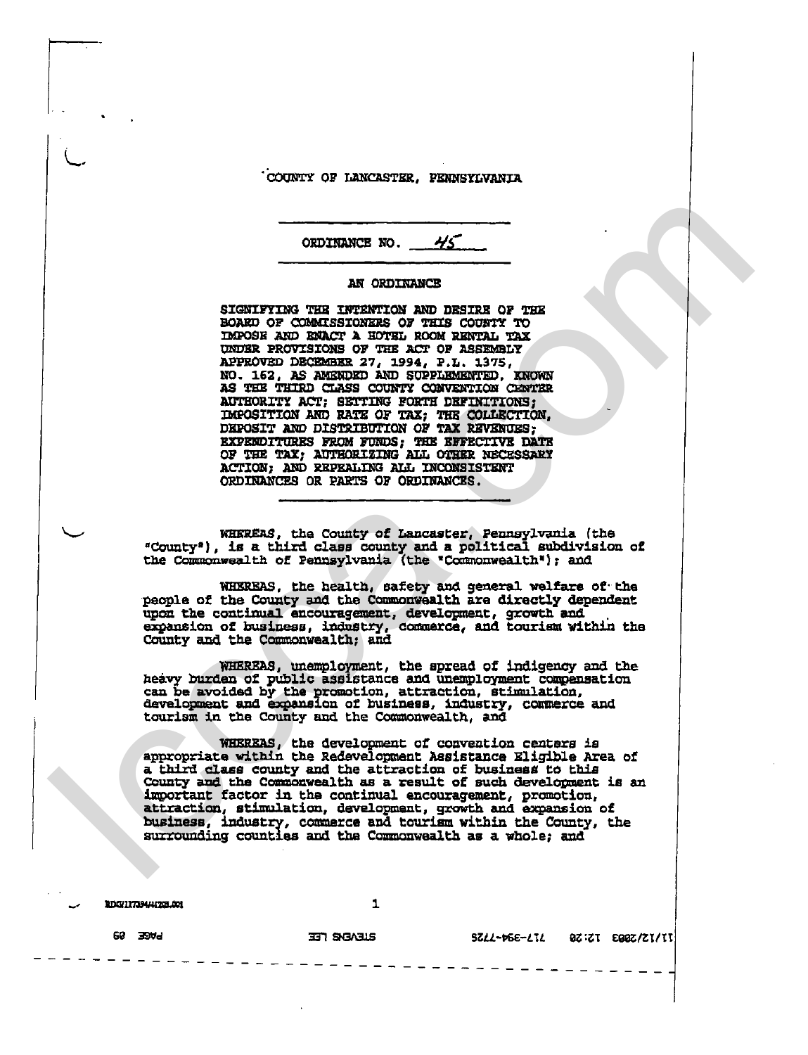COUNTY OF LANCASTER, PENNSYLVANIA

 $45$ ORDINANCE NO.

## AN ORDINANCE

SIGNIFYING THE INTENTION AND DESIRE OF THE BOARD OF COMMISSIONERS OF THIS COUNTY TO IMPOSE AND ENACT A HOTEL ROOM RENTAL TAX UNDER PROVISIONS OF THE ACT OF ASSEMBLY APPROVED DECEMBER 27, 1994, P.L. 1375, NO. 162, AS AMENDED AND SUPPLEMENTED, KNOWN AS THE THIRD CLASS COUNTY CONVENTION CENTER AUTHORITY ACT; SETTING FORTH DEFINITIONS; IMPOSITION AND RATE OF TAX; THE COLLECTION, DEPOSIT AND DISTRIBUTION OF TAX REVENUES; EXPENDITURES FROM FUNDS; THE EFFECTIVE DATE OF THE TAX; AUTHORIZING ALL OTHER NECESSARY ACTION; AND REPEALING ALL INCONSISTENT ORDINANCES OR PARTS OF ORDINANCES.

WHEREAS, the County of Lancaster, Pennsylvania (the "County"), is a third class county and a political subdivision of the Commonwealth of Pennsylvania (the "Commonwealth"); and

WHEREAS, the health, safety and general welfare of the people of the County and the Commonwealth are directly dependent upon the continual encouragement, development, growth and<br>expansion of business, industry, commerce, and tourism within the<br>County and the Commonwealth; and

WHEREAS, unemployment, the spread of indigency and the heavy burden of public assistance and unemployment compensation can be avoided by the promotion, attraction, stimulation, development and expansion of business, industry, commerce and tourism in the County and the Commonwealth, and

WHEREAS, the development of convention centers is appropriate within the Redevelopment Assistance Eligible Area of a third class county and the attraction of business to this County and the Commonwealth as a result of such development is an important factor in the continual encouragement, promotion, attraction, stimulation, development, growth and expansion of business, industry, commerce and tourism within the County, the surrounding counties and the Commonwealth as a whole; and

RDG/11739441705.001

1

**EUGABR FEE** 

0Z:ZI E00Z/ZI/II **SZLL-PGE-LIL** 

**PAGE 89**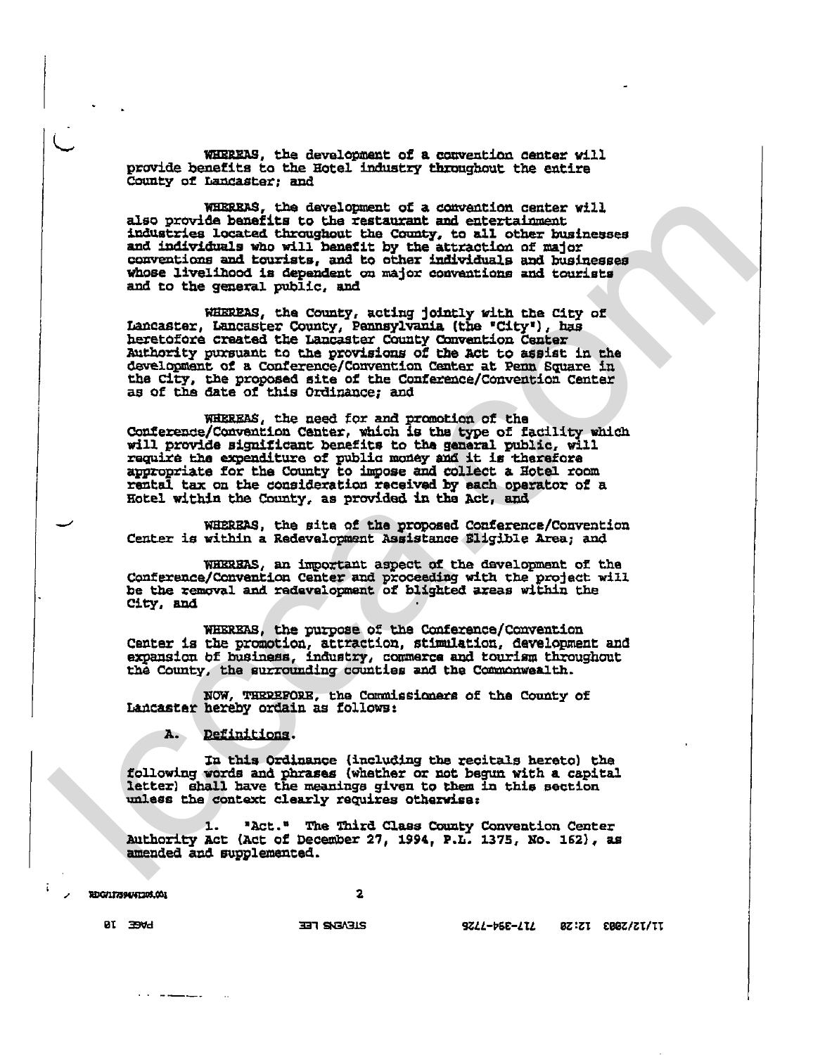WHEREAS, the development of a convention center will provide benefits to the Hotel industry throughout the entire County of Langaster; and

WHEREAS, the development of a convention center will also provide benefits to the restaurant and entertainment industries located throughout the County, to all other businesses and individuals who will benefit by the attraction of major<br>conventions and tourists, and to other individuals and businesses<br>whose livelihood is dependent on major conventions and tourists and to the general public, and

WHEREAS, the County, acting jointly with the City of Lancaster, Lancaster County, Pennsylvania (the "City"), has heretofore created the Lancaster County Convention Center Authority pursuant to the provisions of the Act to assist in the development of a Conference/Convention Center at Penn Square in the City, the proposed site of the Conference/Convention Center as of the date of this Ordinance; and

WHEREAS, the need for and promotion of the Conference/Convention Center, which is the type of facility which will provide significant benefits to the general public, will require the expenditure of public money and it is therefore<br>appropriate for the County to impose and collect a Hotel room<br>rental tax on the consideration received by each operator of a<br>Hotel within the County, as provided

WHEREAS, the site of the proposed Conference/Convention Center is within a Redevelopment Assistance Sligible Area; and

WHEREAS, an important aspect of the development of the Conference/Convention Center and proceeding with the project will be the removal and redevelopment of blighted areas within the City, and

WHEREAS, the purpose of the Conference/Convention Center is the promotion, attraction, stimulation, development and expansion of business, industry, commerce and tourism throughout the County, the surrounding counties and the Commonwealth.

NOW, THRREFORE, the Commissioners of the County of Lancaster hereby ordain as follows:

A. Definitions.

In this Ordinance (including the recitals hereto) the following words and phrases (whether or not begun with a capital letter) shall have the meanings given to them in this section unless the context clearly requires otherwise:

"Act." The Third Class County Convention Center ı. Authority Act (Act of December 27, 1994, P.L. 1375, No. 162), as amended and supplemented.

2DG/17394/41203.001

 $\overline{\mathbf{z}}$ 

9822-658-272 8Z:ZI 208Z/ZI/II

**BI EMd** 

. . . . . <u>. . . .</u> .

**ELEVENS FEE**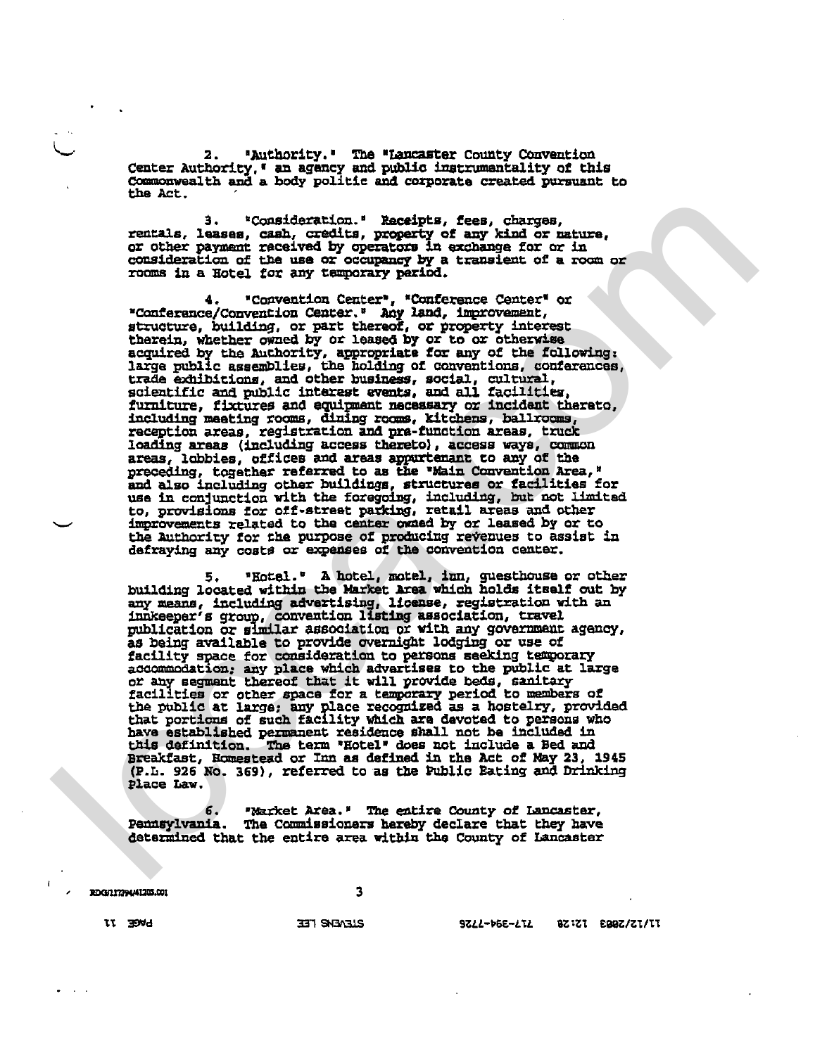"Authority." The "Lancaster County Convention  $2.$ Center Authority, " an agency and public instrumentality of this Commonwealth and a body politic and corporate created pursuant to the Act.

 $3.$ "Consideration." Receipts, fees, charges, rentals, leases, cash, credits, property of any kind or nature,<br>or other payment received by operators in exchange for or in<br>consideration of the use or occupancy by a transient of a room or rooms in a Hotel for any temporary pariod.

4. "Convention Center", "Conference Center" or<br>"Conference/Convention Center." Any land, improvement, structure, building, or part thereof, or property interest therein, whether owned by or leased by or to or otherwise<br>acquired by the Authority, appropriate for any of the following: large public assemblies, the holding of conventions, conferences, trade exhibitions, and other business, social, cultural, scientific and public interest events, and all facilities, furniture, fixtures and equipment necessary or incident thereto, runnicure, fixtures and equipment necessary or included there including meeting rooms, dining rooms, kitchens, ballrooms, reception areas, registration and pra-function areas, truck loading areas (including access thereto) areas, lobbies, offices and areas appurtenant to any of the greas, follows, offices and alsas appartenant to any of the<br>preceding, together referred to as the "Main Convention Area,"<br>and also including other buildings, structures or facilities for<br>use in conjunction with the forego to, provisions for off-street parking, retail areas and other improvements related to the center owned by or leased by or to the Authority for the purpose of producing revenues to assist in defraying any costs or expenses of the convention center.

5. "Hotel." A hotel, motel, inn, guesthouse or other<br>building located within the Market Area which holds itself out by any means, including advertising, license, registration with an innkeeper's group, convention listing association, travel<br>publication or similar association or with any government agency, as being available to provide overnight lodging or use of as being available to provide overhight lodging or use or<br>facility space for consideration to persons seeking temporary<br>accommodation; any place which advarises to the public at large<br>or any segment thereof that it will pr Breakfast, Homestead or Inn as defined in the Act of May 23, 1945 (P.L. 926 No. 369), referred to as the Public Eating and Drinking Place Law.

"Narket Area." The entire County of Lancaster, б. Pennsylvania. The Commissioners hereby declare that they have determined that the entire area within the County of Lancaster

 $\overline{\mathbf{3}}$ 

RDG/11794/41203.001

**BLIENE REE** 

9777-1255-777 82:21 2882/21/11

LVGE JJ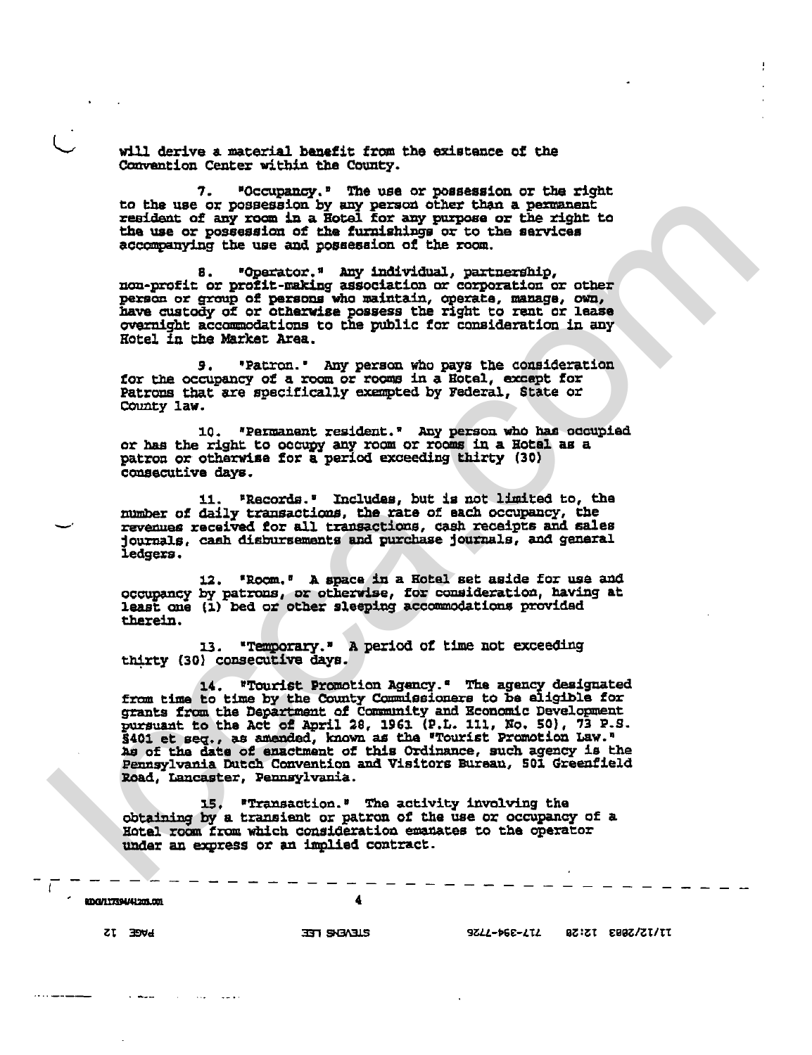will derive a material benefit from the existence of the Convention Center within the County.

"Occupancy." The use or possession or the right 7. to the use or possession by any person other than a permanent<br>resident of any room in a Hotel for any purpose or the right to<br>the use or possession of the furnishings or to the services accompanying the use and possession of the room.

"Operator." Any individual, partnership, 8. non-profit or profit-making association or corporation or other person or group of persons who maintain, operate, manage, own, have custody of or otherwise possess the right to rent or lease overnight accommodations to the public for consideration in any Hotel In the Market Area.

9. "Patron." Any person who pays the consideration<br>for the occupancy of a room or rooms in a Hotel, except for Patrons that are specifically exempted by Federal, State or County law.

10. "Permanent resident." Any person who has occupied or has the right to occupy any room or rooms in a Hotel as a patron or otherwise for a period exceeding thirty (30) consecutive days.

11. "Records." Includes, but is not limited to, the number of daily transactions, the rate of each occupancy, the revenues received for all transactions, cash receipts and sales journals, cash disbursements and purchase journals, and general ledgers.

12. "Room." A space in a Hotel set aside for use and occupancy by patrons, or otherwise, for consideration, having at least one (1) bed or other sleeping accommodations provided therein.

"Temporary." A period of time not exceeding 13. thirty (30) consecutive days.

14. "Tourist Promotion Agency." The agency designated 14. "Tourist Promotion Agency." The agency designated<br>from time to time by the County Commissioners to be aligible for<br>grants from the Department of Community and Economic Development<br>pursuant to the Act of April 28, 1961 Pennsylvania Dutch Convention and Visitors Bureau, 501 Greenfield Road, Lancaster, Pennsylvania.

**"Transaction."** The activity involving the 15. obtaining by a transient or patron of the use or occupancy of a Hotel room from which consideration emanates to the operator under an express or an implied contract.

000/11759041201.001

**ELAENS TEE** 

9822-665-212 BZ:ZI EBBZ/ZI/II

**PAGE 12**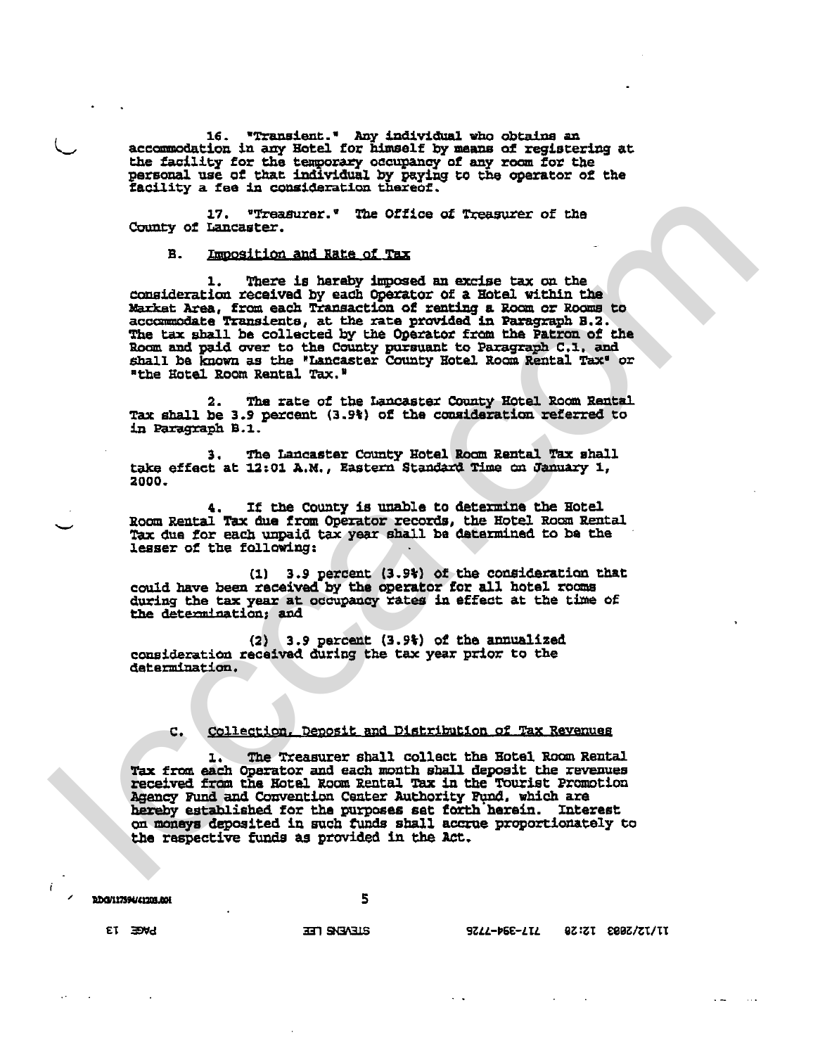16. "Transient." Any individual who obtains an<br>accommodation in any Hotel for himself by means of registering at<br>the facility for the temporary occupancy of any room for the<br>personal use of that individual by paying to the

17. "Treasurer." The Office of Treasurer of the County of Lancaster.

Imposition and Rate of Tax  $\mathbf{R}$ 

1. There is hereby imposed an excise tax on the consideration received by each Operator of a Hotel within the Market Area, from each Transaction of renting a Room or Rooms to accommodate Transients, at the rate provided in Paragraph B.2. The tax shall be collected by the Operator from the Patron of the Room and paid over to the County pursuant to Paragraph C.1, and<br>shall be known as the "Lancaster County Hotel Room Rental Tax" or "the Hotel Room Rental Tax."

The rate of the Lancaster County Hotel Room Rantal 2. Tax shall be 3.9 percent (3.9%) of the consideration referred to in Paragraph B.1.

The Lancaster County Hotel Room Rental Tax shall 3. take effect at 12:01 A.M., Eastern Standard Time on January 1, 2000.

If the County is unable to determine the Hotel 4. Room Rental Tax due from Operator records, the Hotel Room Rental<br>Tax due for each unpaid tax year shall be determined to be the lesser of the following:

(1) 3.9 percent (3.9%) of the consideration that could have been received by the operator for all hotel rooms during the tax year at occupancy rates in effect at the time of the determination; and

(2) (3.9 percent (3.9%) of the annualized<br>consideration received during the tax year prior to the determination.

#### Collection. Deposit and Distribution of Tax Revenues c.

The Treasurer shall collect the Hotel Room Rental ı. Tax from each Operator and each month shall deposit the revenues received from the Hotel Room Rental Tax in the Tourist Promotion Agency Fund and Convention Center Authority Fund, which are hereby established for the purposes set forth herein. Interest on moneys deposited in such funds shall accrue proportionately to the respective funds as provided in the Act.

100/117390/41203.008

5

9ZZZ-P6E-ZIZ 9Z:ZI 289Z/ZI/II

**ET EDWA** 

**ELEVENE LEE**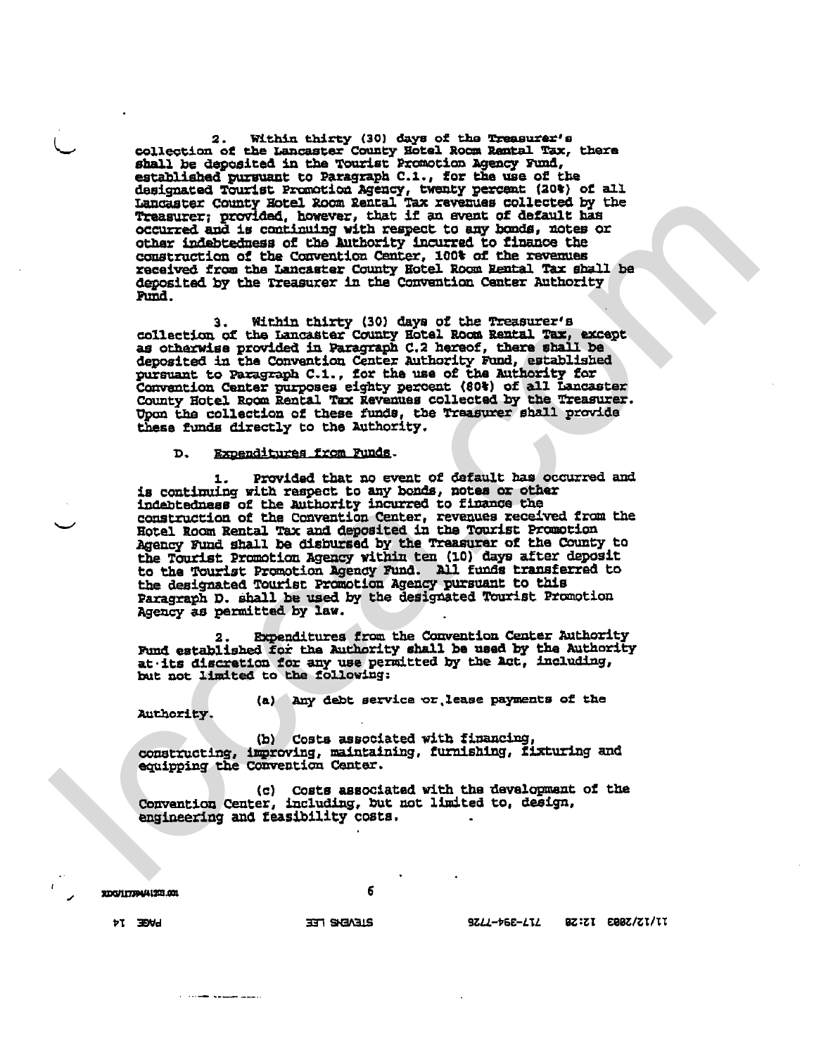2. Within thirty (30) days of the Treasurer's<br>collection of the Lancaster County Hotel Room Rental Tax, there shall be deposited in the Tourist Promotion Agency Fund, established pursuant to Paragraph C.1., for the use of the designated Tourist Promotion Agency, twenty percent (20%) of all Lancaster County Hotel Room Rental Tax revenues collected by the Treasurer; provided, however, that if an event of default has occurred and is continuing with respect to any bonds, notes or other indebtedness of the Authority incurred to finance the construction of the Convention Center, 100% of the revenues received from the Lancaster County Hotel Room Rental Tax shall be deposited by the Treasurer in the Convention Center Authority Fund.

3. Within thirty (30) days of the Treasurer's collection of the Lancaster County Hotel Room Rental Tax, except as otherwise provided in Paragraph C.2 hereof, there shall be deposited in the Convention Center Authority Fund, established pursuant to Paragraph C.1., for the use of the Authority for<br>Convention Center purposes eighty percent (60%) of all Lancaster<br>County Hotel Room Rental Tax Revenues collected by the Treasurer. Upon the collection of these funds, the Treasurer shall provide these funds directly to the Authority.

D. Expenditures from Funds.

Provided that no event of default has occurred and is continuing with raspect to any bonds, notes or other indebtedness of the Authority incurred to finance the construction of the Convention Center, revenues received from the Hotel Room Rental Tax and deposited in the Tourist Promotion Agency Fund shall be disbursed by the Transurer of the County to<br>Agency Fund shall be disbursed by the Transurer of the County to<br>the Tourist Promotion Agency within ten (10) days after deposit<br>to the Tourist Promotion Age Agency as permitted by law.

Expenditures from the Convention Center Authority Fund established for the Authority shall be used by the Authority<br>at its discretion for any use permitted by the 2ct, including,<br>but not limited to the following:

(a) Any debt service or lease payments of the Authority.

(b) Costs associated with financing, constructing, improving, maintaining, furnishing, fixturing and equipping the Convention Center.

(c) Costs associated with the development of the Convention Center, including, but not limited to, design, engineering and feasibility costs.

6

RDG/117394/41203.001

**BLEABIG TEE** 

9Z*LL-*Þ6E-LIL BZ:ZI E00Z/ZI/II

**PL EMP** 

 $\cdots$  and  $\cdots$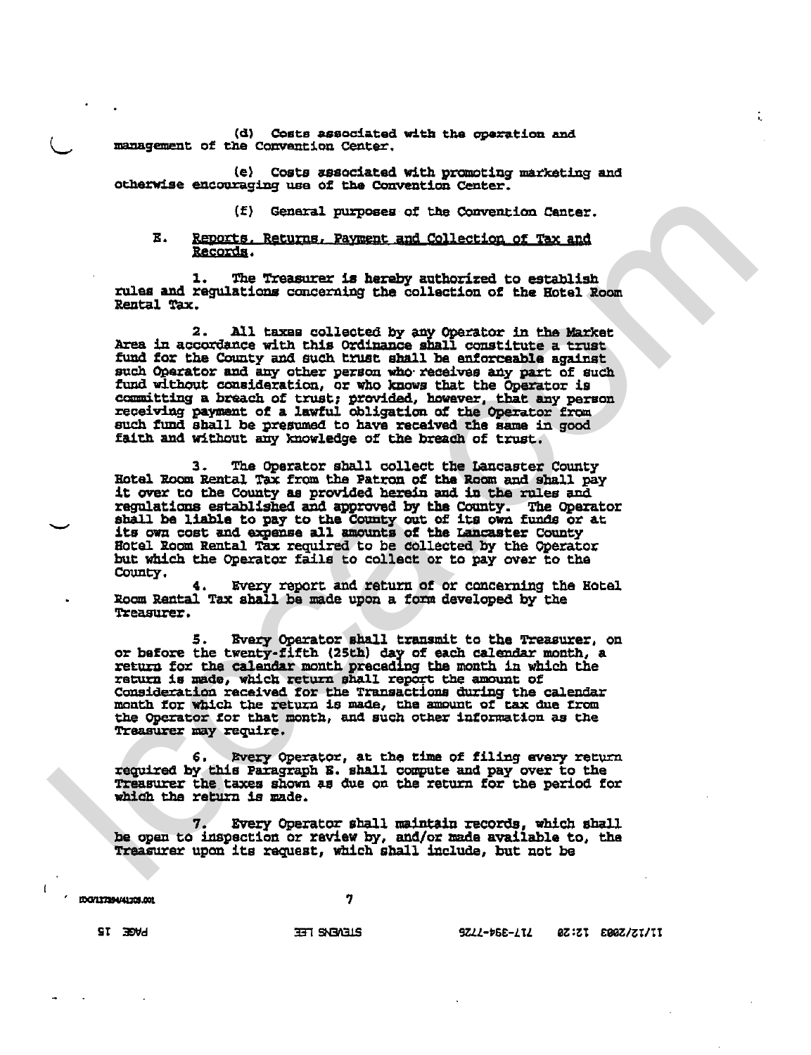(d) Costs associated with the operation and management of the Convention Center.

(e) Costs associated with promoting marketing and otherwise encouraging use of the Convention Center.

(f) General purposes of the Convention Center.

### Ε. Reports, Returns, Payment and Collection of Tax and Records.

The Treasurer is hereby authorized to establish rules and regulations concerning the collection of the Hotel Room Rental Tax.

 $2.$ All taxes collected by any Operator in the Market Area in accordance with this Ordinance shall constitute a trust<br>fund for the County and such trust shall be enforceable against such Operator and any other person who receives any part of such fund without consideration, or who knows that the Operator is committing a breach of trust; provided, however, that any person receiving payment of a lawful obligation of the Operator from such fund shall be presumed to have received the same in good faith and without any knowledge of the breach of trust.

The Operator shall collect the Lancaster County З. Hotel Room Rental Tax from the Patron of the Room and shall pay it over to the County as provided herein and in the rules and regulations established and approved by the County. The Operator shall be liable to pay to the County out of its own funds or at its own cost and expense all amounts of the Lancaster County The Operator Hotel Room Rental Tax required to be collected by the Operator but which the Operator fails to collect or to pay over to the County.

Every report and return of or concerning the Hotel Room Rantal Tax shall be made upon a form developed by the Treasurer.

5. Every Operator shall transmit to the Treasurer, on<br>or before the twenty-fifth (25th) day of each calendar month, a return for the calendar month preceding the month in which the return is made, which return shall report the amount of<br>consideration received for the Transactions during the calendar<br>month for which the return is made, the amount of tax due from<br>the Operator for that month, and such o Treasurer may require.

Every Operator, at the time of filing every return 6. required by this Paragraph E. shall compute and pay over to the Treasurer the taxes shown as due on the return for the period for which the return is made.

Every Operator shall maintain records, which shall be open to inspection or raview by, and/or made available to, the Treasurer upon its request, which shall include, but not be

IDG/117394/41209.001

7

**BILVENS LEE** 

9Z44-D68-AT4 0Z:ZT 200Z/ZT/II

**PAGE 15**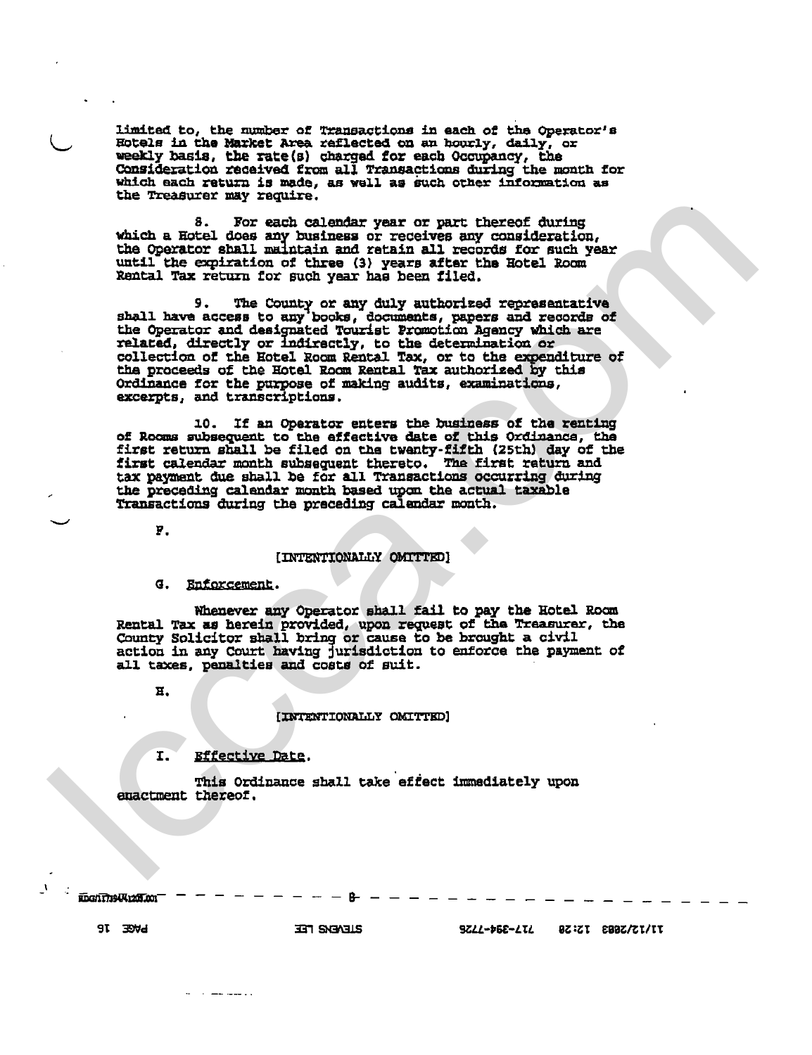limited to, the number of Transactions in each of the Operator's Hotels in the Market Area raflected on an hourly, daily, or weekly basis, the rate (s) charged for each Occupancy, the Consideration received from all Transactions during the month for which each return is made, as well as such other information as the Treasurer may require.

8. For each calendar year or part thereof during which a Hotel does any business or receives any consideration, the Operator shall maintain and retain all records for such year until the expiration of three (3) years after the Hotel Room Rental Tax return for such year has been filed.

The County or any duly authorized representative 9. shall have access to any books, documents, papers and records of the Operator and designated Tourist Promotion Agency which are related, directly or indirectly, to the determination or collection of the Eotel Room Rental Tax, or to the expenditure of the proceeds of the Hotel Room Rental Tax authorized by this Ordinance for the purpose of making audits, examinations, excerpts, and transcriptions.

10. If an Operator enters the business of the renting of Rooms subsequent to the effective date of this Ordinance, the<br>first return shall be filed on the twenty-fifth (25th) day of the<br>first calendar month subsequent thereto. The first return and tax payment due shall be for all Transactions occurring during the preceding calendar month based upon the actual taxable Transactions during the preceding calendar month.

У.

# [INTENTIONALLY OMITTED]

Enforcement.  $\sigma$ .

Whenever any Operator shall fail to pay the Hotel Room Rental Tax as herein provided, upon request of the Treasurer, the County Solicitor shall bring or cause to be brought a civil action in any Court having jurisdiction to enforce the payment of all taxes, penalties and costs of suit.

 $E.$ 

## [INTENTIONALLY OMITTED]

### Effective Date. I.

 $\sim$  and the set of  $\sim$ 

This Ordinance shall take effect immediately upon enactment thereof.

**IDGAT7394K1205.001** 

**SLEVEIG FEE** 

**BAGE JB**